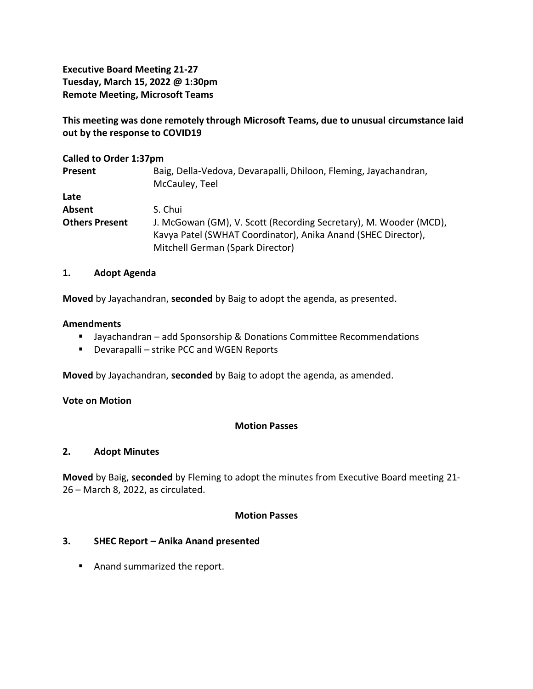**Executive Board Meeting 21-27 Tuesday, March 15, 2022 @ 1:30pm Remote Meeting, Microsoft Teams**

**This meeting was done remotely through Microsoft Teams, due to unusual circumstance laid out by the response to COVID19**

#### **Called to Order 1:37pm**

| Present               | Baig, Della-Vedova, Devarapalli, Dhiloon, Fleming, Jayachandran,<br>McCauley, Teel                                                 |
|-----------------------|------------------------------------------------------------------------------------------------------------------------------------|
| Late                  |                                                                                                                                    |
| Absent                | S. Chui                                                                                                                            |
| <b>Others Present</b> | J. McGowan (GM), V. Scott (Recording Secretary), M. Wooder (MCD),<br>Kavya Patel (SWHAT Coordinator), Anika Anand (SHEC Director), |
|                       | Mitchell German (Spark Director)                                                                                                   |

#### **1. Adopt Agenda**

**Moved** by Jayachandran, **seconded** by Baig to adopt the agenda, as presented.

#### **Amendments**

- Jayachandran add Sponsorship & Donations Committee Recommendations
- Devarapalli strike PCC and WGEN Reports

**Moved** by Jayachandran, **seconded** by Baig to adopt the agenda, as amended.

#### **Vote on Motion**

# **Motion Passes**

#### **2. Adopt Minutes**

**Moved** by Baig, **seconded** by Fleming to adopt the minutes from Executive Board meeting 21- 26 – March 8, 2022, as circulated.

#### **Motion Passes**

# **3. SHEC Report – Anika Anand presented**

■ Anand summarized the report.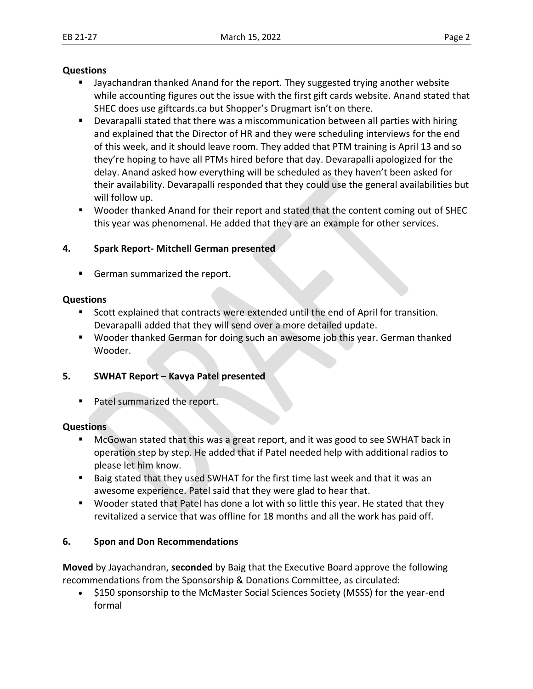#### **Questions**

- Jayachandran thanked Anand for the report. They suggested trying another website while accounting figures out the issue with the first gift cards website. Anand stated that SHEC does use giftcards.ca but Shopper's Drugmart isn't on there.
- Devarapalli stated that there was a miscommunication between all parties with hiring and explained that the Director of HR and they were scheduling interviews for the end of this week, and it should leave room. They added that PTM training is April 13 and so they're hoping to have all PTMs hired before that day. Devarapalli apologized for the delay. Anand asked how everything will be scheduled as they haven't been asked for their availability. Devarapalli responded that they could use the general availabilities but will follow up.
- Wooder thanked Anand for their report and stated that the content coming out of SHEC this year was phenomenal. He added that they are an example for other services.

# **4. Spark Report- Mitchell German presented**

■ German summarized the report.

# **Questions**

- Scott explained that contracts were extended until the end of April for transition. Devarapalli added that they will send over a more detailed update.
- Wooder thanked German for doing such an awesome job this year. German thanked Wooder.

# **5. SWHAT Report – Kavya Patel presented**

■ Patel summarized the report.

# **Questions**

- McGowan stated that this was a great report, and it was good to see SWHAT back in operation step by step. He added that if Patel needed help with additional radios to please let him know.
- Baig stated that they used SWHAT for the first time last week and that it was an awesome experience. Patel said that they were glad to hear that.
- Wooder stated that Patel has done a lot with so little this year. He stated that they revitalized a service that was offline for 18 months and all the work has paid off.

# **6. Spon and Don Recommendations**

**Moved** by Jayachandran, **seconded** by Baig that the Executive Board approve the following recommendations from the Sponsorship & Donations Committee, as circulated:

• \$150 sponsorship to the McMaster Social Sciences Society (MSSS) for the year-end formal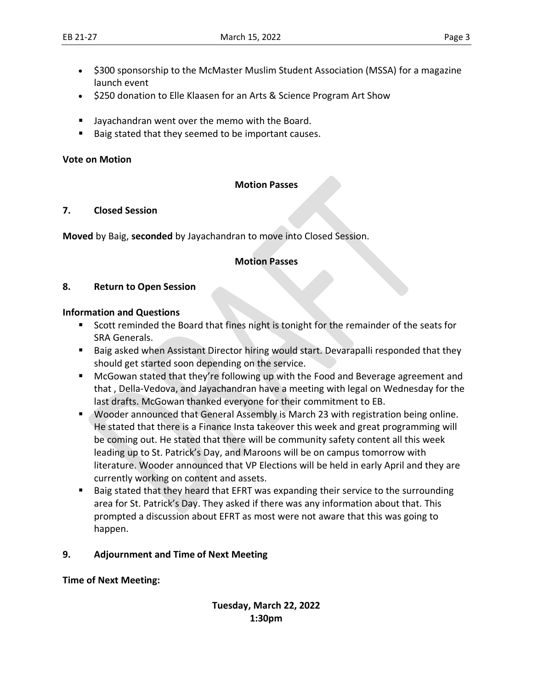- \$300 sponsorship to the McMaster Muslim Student Association (MSSA) for a magazine launch event
- \$250 donation to Elle Klaasen for an Arts & Science Program Art Show
- Jayachandran went over the memo with the Board.
- Baig stated that they seemed to be important causes.

#### **Vote on Motion**

#### **Motion Passes**

#### **7. Closed Session**

**Moved** by Baig, **seconded** by Jayachandran to move into Closed Session.

# **Motion Passes**

#### **8. Return to Open Session**

#### **Information and Questions**

- Scott reminded the Board that fines night is tonight for the remainder of the seats for SRA Generals.
- Baig asked when Assistant Director hiring would start. Devarapalli responded that they should get started soon depending on the service.
- McGowan stated that they're following up with the Food and Beverage agreement and that , Della-Vedova, and Jayachandran have a meeting with legal on Wednesday for the last drafts. McGowan thanked everyone for their commitment to EB.
- Wooder announced that General Assembly is March 23 with registration being online. He stated that there is a Finance Insta takeover this week and great programming will be coming out. He stated that there will be community safety content all this week leading up to St. Patrick's Day, and Maroons will be on campus tomorrow with literature. Wooder announced that VP Elections will be held in early April and they are currently working on content and assets.
- Baig stated that they heard that EFRT was expanding their service to the surrounding area for St. Patrick's Day. They asked if there was any information about that. This prompted a discussion about EFRT as most were not aware that this was going to happen.

# **9. Adjournment and Time of Next Meeting**

# **Time of Next Meeting:**

# **Tuesday, March 22, 2022 1:30pm**